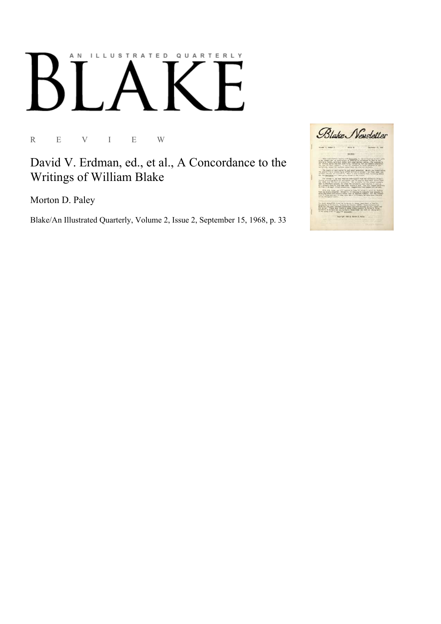## AN ILLUSTRATED QUARTERLY

R E V I E W

David V. Erdman, ed., et al., A Concordance to the Writings of William Blake

Morton D. Paley

Blake/An Illustrated Quarterly, Volume 2, Issue 2, September 15, 1968, p. 33